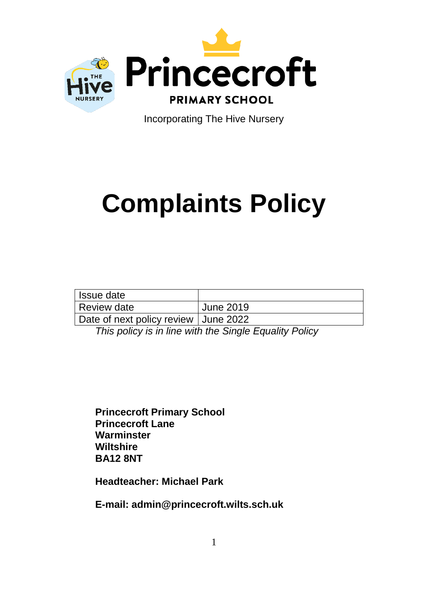

Incorporating The Hive Nursery

# **Complaints Policy**

| Issue date                             |                  |
|----------------------------------------|------------------|
| Review date                            | <b>June 2019</b> |
| Date of next policy review   June 2022 |                  |

*This policy is in line with the Single Equality Policy*

**Princecroft Primary School Princecroft Lane Warminster Wiltshire BA12 8NT**

**Headteacher: Michael Park**

**E-mail: admin@princecroft.wilts.sch.uk**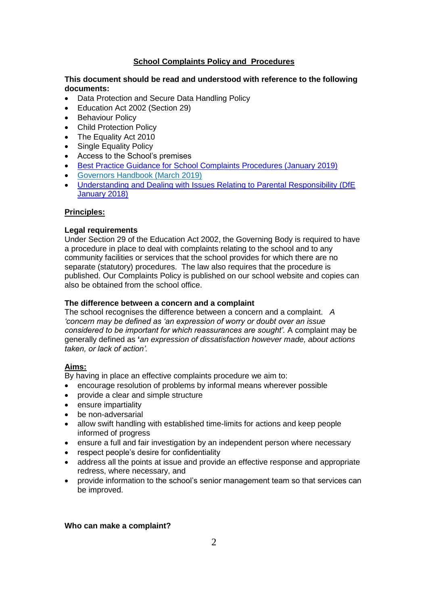# **School Complaints Policy and Procedures**

## **This document should be read and understood with reference to the following documents:**

- Data Protection and Secure Data Handling Policy
- Education Act 2002 (Section 29)
- Behaviour Policy
- Child Protection Policy
- The Equality Act 2010
- Single Equality Policy
- Access to the School's premises
- [Best Practice Guidance for School Complaints Procedures \(January 2019\)](https://www.gov.uk/government/publications/school-complaints-procedures/best-practice-advice-for-school-complaints-procedures-2019)
- [Governors Handbook \(March 2019\)](https://assets.publishing.service.gov.uk/government/uploads/system/uploads/attachment_data/file/788234/governance_handbook_2019.pdf)
- [Understanding and Dealing with Issues Relating to Parental Responsibility \(DfE](https://www.gov.uk/government/publications/dealing-with-issues-relating-to-parental-responsibility)  [January 2018\)](https://www.gov.uk/government/publications/dealing-with-issues-relating-to-parental-responsibility)

## **Principles:**

## **Legal requirements**

Under Section 29 of the Education Act 2002, the Governing Body is required to have a procedure in place to deal with complaints relating to the school and to any community facilities or services that the school provides for which there are no separate (statutory) procedures. The law also requires that the procedure is published. Our Complaints Policy is published on our school website and copies can also be obtained from the school office.

# **The difference between a concern and a complaint**

The school recognises the difference between a concern and a complaint. *A 'concern may be defined as 'an expression of worry or doubt over an issue considered to be important for which reassurances are sought'.* A complaint may be generally defined as **'***an expression of dissatisfaction however made, about actions taken, or lack of action'.*

## **Aims:**

By having in place an effective complaints procedure we aim to:

- encourage resolution of problems by informal means wherever possible
- provide a clear and simple structure
- ensure impartiality
- be non-adversarial
- allow swift handling with established time-limits for actions and keep people informed of progress
- ensure a full and fair investigation by an independent person where necessary
- respect people's desire for confidentiality
- address all the points at issue and provide an effective response and appropriate redress, where necessary, and
- provide information to the school's senior management team so that services can be improved.

## **Who can make a complaint?**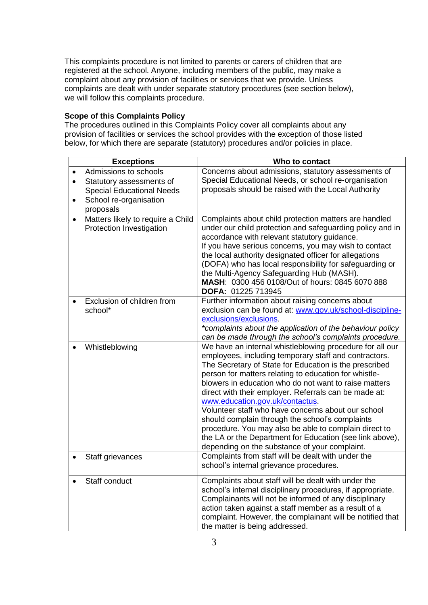This complaints procedure is not limited to parents or carers of children that are registered at the school. Anyone, including members of the public, may make a complaint about any provision of facilities or services that we provide. Unless complaints are dealt with under separate statutory procedures (see section below), we will follow this complaints procedure.

## **Scope of this Complaints Policy**

The procedures outlined in this Complaints Policy cover all complaints about any provision of facilities or services the school provides with the exception of those listed below, for which there are separate (statutory) procedures and/or policies in place.

| <b>Exceptions</b>                                                                                                                         | Who to contact                                                                                                                                                                                                                                                                                                                                                                                                                                                                                                                                                                                                                                                           |
|-------------------------------------------------------------------------------------------------------------------------------------------|--------------------------------------------------------------------------------------------------------------------------------------------------------------------------------------------------------------------------------------------------------------------------------------------------------------------------------------------------------------------------------------------------------------------------------------------------------------------------------------------------------------------------------------------------------------------------------------------------------------------------------------------------------------------------|
| Admissions to schools<br>Statutory assessments of<br><b>Special Educational Needs</b><br>School re-organisation<br>$\bullet$<br>proposals | Concerns about admissions, statutory assessments of<br>Special Educational Needs, or school re-organisation<br>proposals should be raised with the Local Authority                                                                                                                                                                                                                                                                                                                                                                                                                                                                                                       |
| Matters likely to require a Child<br>Protection Investigation                                                                             | Complaints about child protection matters are handled<br>under our child protection and safeguarding policy and in<br>accordance with relevant statutory guidance.<br>If you have serious concerns, you may wish to contact<br>the local authority designated officer for allegations<br>(DOFA) who has local responsibility for safeguarding or<br>the Multi-Agency Safeguarding Hub (MASH).<br>MASH: 0300 456 0108/Out of hours: 0845 6070 888<br>DOFA: 01225 713945                                                                                                                                                                                                   |
| Exclusion of children from<br>school*                                                                                                     | Further information about raising concerns about<br>exclusion can be found at: www.gov.uk/school-discipline-<br>exclusions/exclusions.<br>*complaints about the application of the behaviour policy<br>can be made through the school's complaints procedure.                                                                                                                                                                                                                                                                                                                                                                                                            |
| Whistleblowing                                                                                                                            | We have an internal whistleblowing procedure for all our<br>employees, including temporary staff and contractors.<br>The Secretary of State for Education is the prescribed<br>person for matters relating to education for whistle-<br>blowers in education who do not want to raise matters<br>direct with their employer. Referrals can be made at:<br>www.education.gov.uk/contactus.<br>Volunteer staff who have concerns about our school<br>should complain through the school's complaints<br>procedure. You may also be able to complain direct to<br>the LA or the Department for Education (see link above),<br>depending on the substance of your complaint. |
| Staff grievances                                                                                                                          | Complaints from staff will be dealt with under the<br>school's internal grievance procedures.                                                                                                                                                                                                                                                                                                                                                                                                                                                                                                                                                                            |
| Staff conduct                                                                                                                             | Complaints about staff will be dealt with under the<br>school's internal disciplinary procedures, if appropriate.<br>Complainants will not be informed of any disciplinary<br>action taken against a staff member as a result of a<br>complaint. However, the complainant will be notified that<br>the matter is being addressed.                                                                                                                                                                                                                                                                                                                                        |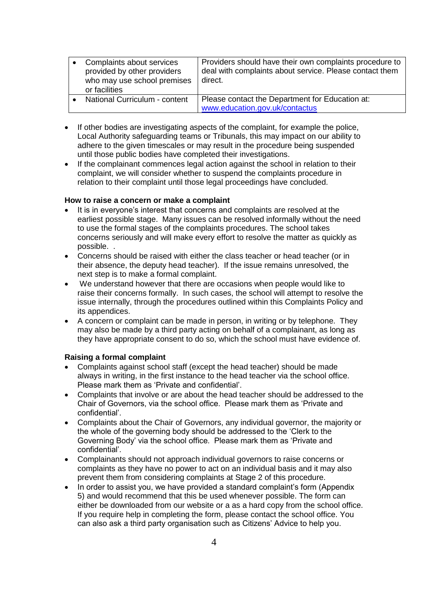| Complaints about services<br>provided by other providers<br>who may use school premises<br>or facilities | Providers should have their own complaints procedure to<br>deal with complaints about service. Please contact them<br>direct. |
|----------------------------------------------------------------------------------------------------------|-------------------------------------------------------------------------------------------------------------------------------|
| National Curriculum - content                                                                            | Please contact the Department for Education at:<br>www.education.gov.uk/contactus                                             |

- If other bodies are investigating aspects of the complaint, for example the police, Local Authority safeguarding teams or Tribunals, this may impact on our ability to adhere to the given timescales or may result in the procedure being suspended until those public bodies have completed their investigations.
- If the complainant commences legal action against the school in relation to their complaint, we will consider whether to suspend the complaints procedure in relation to their complaint until those legal proceedings have concluded.

## **How to raise a concern or make a complaint**

- It is in everyone's interest that concerns and complaints are resolved at the earliest possible stage. Many issues can be resolved informally without the need to use the formal stages of the complaints procedures. The school takes concerns seriously and will make every effort to resolve the matter as quickly as possible. .
- Concerns should be raised with either the class teacher or head teacher (or in their absence, the deputy head teacher). If the issue remains unresolved, the next step is to make a formal complaint.
- We understand however that there are occasions when people would like to raise their concerns formally. In such cases, the school will attempt to resolve the issue internally, through the procedures outlined within this Complaints Policy and its appendices.
- A concern or complaint can be made in person, in writing or by telephone. They may also be made by a third party acting on behalf of a complainant, as long as they have appropriate consent to do so, which the school must have evidence of.

#### **Raising a formal complaint**

- Complaints against school staff (except the head teacher) should be made always in writing, in the first instance to the head teacher via the school office. Please mark them as 'Private and confidential'.
- Complaints that involve or are about the head teacher should be addressed to the Chair of Governors, via the school office. Please mark them as 'Private and confidential'.
- Complaints about the Chair of Governors, any individual governor, the majority or the whole of the governing body should be addressed to the 'Clerk to the Governing Body' via the school office. Please mark them as 'Private and confidential'.
- Complainants should not approach individual governors to raise concerns or complaints as they have no power to act on an individual basis and it may also prevent them from considering complaints at Stage 2 of this procedure.
- In order to assist you, we have provided a standard complaint's form (Appendix 5) and would recommend that this be used whenever possible. The form can either be downloaded from our website or a as a hard copy from the school office. If you require help in completing the form, please contact the school office. You can also ask a third party organisation such as Citizens' Advice to help you.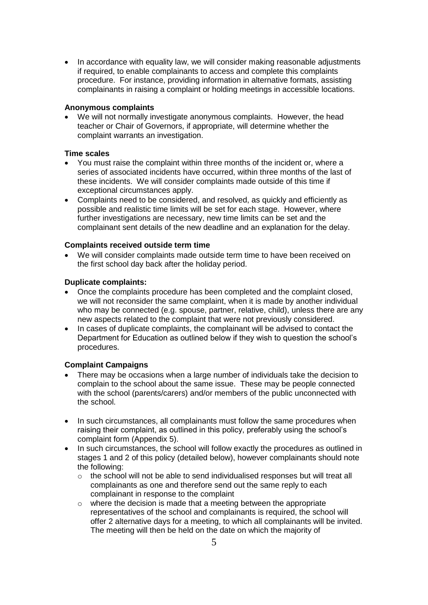• In accordance with equality law, we will consider making reasonable adjustments if required, to enable complainants to access and complete this complaints procedure. For instance, providing information in alternative formats, assisting complainants in raising a complaint or holding meetings in accessible locations.

# **Anonymous complaints**

 We will not normally investigate anonymous complaints. However, the head teacher or Chair of Governors, if appropriate, will determine whether the complaint warrants an investigation.

## **Time scales**

- You must raise the complaint within three months of the incident or, where a series of associated incidents have occurred, within three months of the last of these incidents. We will consider complaints made outside of this time if exceptional circumstances apply.
- Complaints need to be considered, and resolved, as quickly and efficiently as possible and realistic time limits will be set for each stage. However, where further investigations are necessary, new time limits can be set and the complainant sent details of the new deadline and an explanation for the delay.

#### **Complaints received outside term time**

We will consider complaints made outside term time to have been received on the first school day back after the holiday period.

## **Duplicate complaints:**

- Once the complaints procedure has been completed and the complaint closed, we will not reconsider the same complaint, when it is made by another individual who may be connected (e.g. spouse, partner, relative, child), unless there are any new aspects related to the complaint that were not previously considered.
- In cases of duplicate complaints, the complainant will be advised to contact the Department for Education as outlined below if they wish to question the school's procedures.

#### **Complaint Campaigns**

- There may be occasions when a large number of individuals take the decision to complain to the school about the same issue. These may be people connected with the school (parents/carers) and/or members of the public unconnected with the school.
- In such circumstances, all complainants must follow the same procedures when raising their complaint, as outlined in this policy, preferably using the school's complaint form (Appendix 5).
- In such circumstances, the school will follow exactly the procedures as outlined in stages 1 and 2 of this policy (detailed below), however complainants should note the following:
	- $\circ$  the school will not be able to send individualised responses but will treat all complainants as one and therefore send out the same reply to each complainant in response to the complaint
	- o where the decision is made that a meeting between the appropriate representatives of the school and complainants is required, the school will offer 2 alternative days for a meeting, to which all complainants will be invited. The meeting will then be held on the date on which the majority of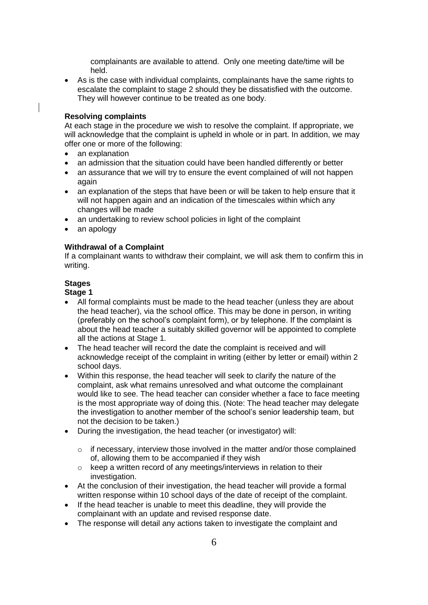complainants are available to attend. Only one meeting date/time will be held.

 As is the case with individual complaints, complainants have the same rights to escalate the complaint to stage 2 should they be dissatisfied with the outcome. They will however continue to be treated as one body.

#### **Resolving complaints**

At each stage in the procedure we wish to resolve the complaint. If appropriate, we will acknowledge that the complaint is upheld in whole or in part. In addition, we may offer one or more of the following:

- an explanation
- an admission that the situation could have been handled differently or better
- an assurance that we will try to ensure the event complained of will not happen again
- an explanation of the steps that have been or will be taken to help ensure that it will not happen again and an indication of the timescales within which any changes will be made
- an undertaking to review school policies in light of the complaint
- an apology

## **Withdrawal of a Complaint**

If a complainant wants to withdraw their complaint, we will ask them to confirm this in writing.

## **Stages**

# **Stage 1**

- All formal complaints must be made to the head teacher (unless they are about the head teacher), via the school office. This may be done in person, in writing (preferably on the school's complaint form), or by telephone. If the complaint is about the head teacher a suitably skilled governor will be appointed to complete all the actions at Stage 1.
- The head teacher will record the date the complaint is received and will acknowledge receipt of the complaint in writing (either by letter or email) within 2 school days.
- Within this response, the head teacher will seek to clarify the nature of the complaint, ask what remains unresolved and what outcome the complainant would like to see. The head teacher can consider whether a face to face meeting is the most appropriate way of doing this. (Note: The head teacher may delegate the investigation to another member of the school's senior leadership team, but not the decision to be taken.)
- During the investigation, the head teacher (or investigator) will:
	- $\circ$  if necessary, interview those involved in the matter and/or those complained of, allowing them to be accompanied if they wish
	- o keep a written record of any meetings/interviews in relation to their investigation.
- At the conclusion of their investigation, the head teacher will provide a formal written response within 10 school days of the date of receipt of the complaint.
- If the head teacher is unable to meet this deadline, they will provide the complainant with an update and revised response date.
- The response will detail any actions taken to investigate the complaint and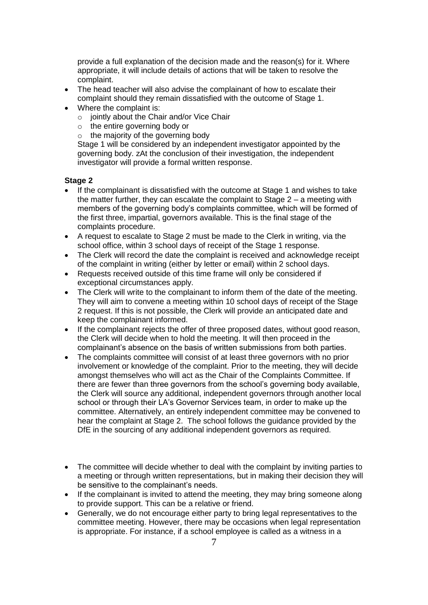provide a full explanation of the decision made and the reason(s) for it. Where appropriate, it will include details of actions that will be taken to resolve the complaint.

- The head teacher will also advise the complainant of how to escalate their complaint should they remain dissatisfied with the outcome of Stage 1.
- Where the complaint is:
	- $\circ$  jointly about the Chair and/or Vice Chair
	- o the entire governing body or
	- $\circ$  the majority of the governing body

Stage 1 will be considered by an independent investigator appointed by the governing body. zAt the conclusion of their investigation, the independent investigator will provide a formal written response.

## **Stage 2**

- If the complainant is dissatisfied with the outcome at Stage 1 and wishes to take the matter further, they can escalate the complaint to Stage  $2 - a$  meeting with members of the governing body's complaints committee, which will be formed of the first three, impartial, governors available. This is the final stage of the complaints procedure.
- A request to escalate to Stage 2 must be made to the Clerk in writing, via the school office, within 3 school days of receipt of the Stage 1 response.
- The Clerk will record the date the complaint is received and acknowledge receipt of the complaint in writing (either by letter or email) within 2 school days.
- Requests received outside of this time frame will only be considered if exceptional circumstances apply.
- The Clerk will write to the complainant to inform them of the date of the meeting. They will aim to convene a meeting within 10 school days of receipt of the Stage 2 request. If this is not possible, the Clerk will provide an anticipated date and keep the complainant informed.
- If the complainant rejects the offer of three proposed dates, without good reason, the Clerk will decide when to hold the meeting. It will then proceed in the complainant's absence on the basis of written submissions from both parties.
- The complaints committee will consist of at least three governors with no prior involvement or knowledge of the complaint. Prior to the meeting, they will decide amongst themselves who will act as the Chair of the Complaints Committee. If there are fewer than three governors from the school's governing body available, the Clerk will source any additional, independent governors through another local school or through their LA's Governor Services team, in order to make up the committee. Alternatively, an entirely independent committee may be convened to hear the complaint at Stage 2. The school follows the guidance provided by the DfE in the sourcing of any additional independent governors as required.
- The committee will decide whether to deal with the complaint by inviting parties to a meeting or through written representations, but in making their decision they will be sensitive to the complainant's needs.
- If the complainant is invited to attend the meeting, they may bring someone along to provide support. This can be a relative or friend.
- Generally, we do not encourage either party to bring legal representatives to the committee meeting. However, there may be occasions when legal representation is appropriate. For instance, if a school employee is called as a witness in a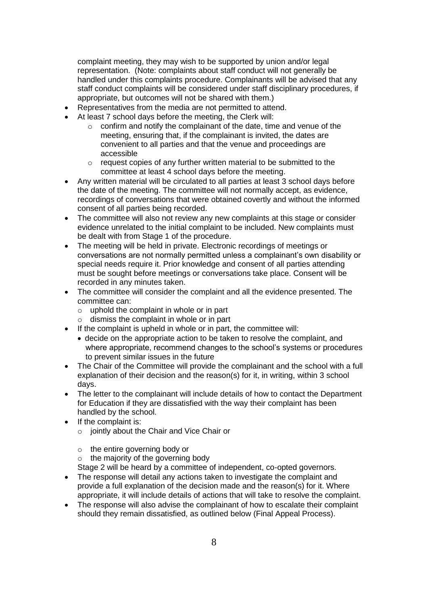complaint meeting, they may wish to be supported by union and/or legal representation. (Note: complaints about staff conduct will not generally be handled under this complaints procedure. Complainants will be advised that any staff conduct complaints will be considered under staff disciplinary procedures, if appropriate, but outcomes will not be shared with them.)

- Representatives from the media are not permitted to attend.
- At least 7 school days before the meeting, the Clerk will:
	- $\circ$  confirm and notify the complainant of the date, time and venue of the meeting, ensuring that, if the complainant is invited, the dates are convenient to all parties and that the venue and proceedings are accessible
	- o request copies of any further written material to be submitted to the committee at least 4 school days before the meeting.
- Any written material will be circulated to all parties at least 3 school days before the date of the meeting. The committee will not normally accept, as evidence, recordings of conversations that were obtained covertly and without the informed consent of all parties being recorded.
- The committee will also not review any new complaints at this stage or consider evidence unrelated to the initial complaint to be included. New complaints must be dealt with from Stage 1 of the procedure.
- The meeting will be held in private. Electronic recordings of meetings or conversations are not normally permitted unless a complainant's own disability or special needs require it. Prior knowledge and consent of all parties attending must be sought before meetings or conversations take place. Consent will be recorded in any minutes taken.
- The committee will consider the complaint and all the evidence presented. The committee can:
	- $\circ$  uphold the complaint in whole or in part
	- $\circ$  dismiss the complaint in whole or in part
- If the complaint is upheld in whole or in part, the committee will:
	- decide on the appropriate action to be taken to resolve the complaint, and where appropriate, recommend changes to the school's systems or procedures to prevent similar issues in the future
- The Chair of the Committee will provide the complainant and the school with a full explanation of their decision and the reason(s) for it, in writing, within 3 school days.
- The letter to the complainant will include details of how to contact the Department for Education if they are dissatisfied with the way their complaint has been handled by the school.
- If the complaint is:
	- o jointly about the Chair and Vice Chair or
	- o the entire governing body or
	- $\circ$  the majority of the governing body

Stage 2 will be heard by a committee of independent, co-opted governors.

- The response will detail any actions taken to investigate the complaint and provide a full explanation of the decision made and the reason(s) for it. Where appropriate, it will include details of actions that will take to resolve the complaint.
- The response will also advise the complainant of how to escalate their complaint should they remain dissatisfied, as outlined below (Final Appeal Process).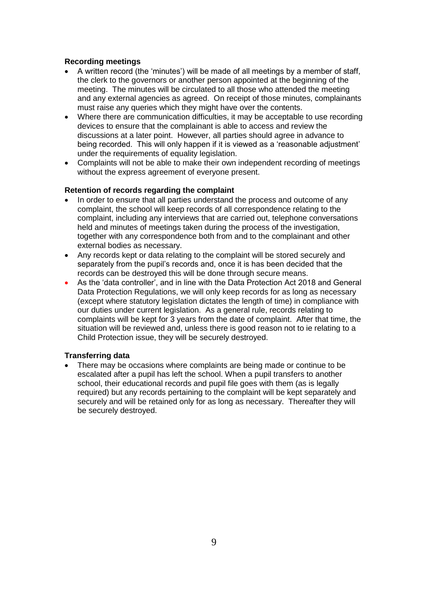## **Recording meetings**

- A written record (the 'minutes') will be made of all meetings by a member of staff, the clerk to the governors or another person appointed at the beginning of the meeting. The minutes will be circulated to all those who attended the meeting and any external agencies as agreed. On receipt of those minutes, complainants must raise any queries which they might have over the contents.
- Where there are communication difficulties, it may be acceptable to use recording devices to ensure that the complainant is able to access and review the discussions at a later point. However, all parties should agree in advance to being recorded. This will only happen if it is viewed as a 'reasonable adjustment' under the requirements of equality legislation.
- Complaints will not be able to make their own independent recording of meetings without the express agreement of everyone present.

## **Retention of records regarding the complaint**

- In order to ensure that all parties understand the process and outcome of any complaint, the school will keep records of all correspondence relating to the complaint, including any interviews that are carried out, telephone conversations held and minutes of meetings taken during the process of the investigation, together with any correspondence both from and to the complainant and other external bodies as necessary.
- Any records kept or data relating to the complaint will be stored securely and separately from the pupil's records and, once it is has been decided that the records can be destroyed this will be done through secure means.
- As the 'data controller', and in line with the Data Protection Act 2018 and General Data Protection Regulations, we will only keep records for as long as necessary (except where statutory legislation dictates the length of time) in compliance with our duties under current legislation. As a general rule, records relating to complaints will be kept for 3 years from the date of complaint. After that time, the situation will be reviewed and, unless there is good reason not to ie relating to a Child Protection issue, they will be securely destroyed.

## **Transferring data**

 There may be occasions where complaints are being made or continue to be escalated after a pupil has left the school. When a pupil transfers to another school, their educational records and pupil file goes with them (as is legally required) but any records pertaining to the complaint will be kept separately and securely and will be retained only for as long as necessary. Thereafter they will be securely destroyed.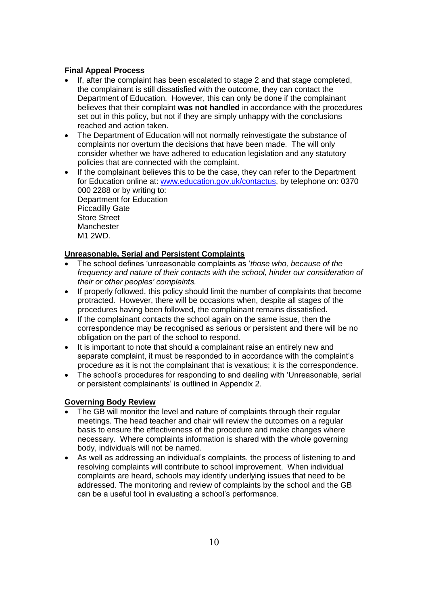# **Final Appeal Process**

- If, after the complaint has been escalated to stage 2 and that stage completed, the complainant is still dissatisfied with the outcome, they can contact the Department of Education. However, this can only be done if the complainant believes that their complaint **was not handled** in accordance with the procedures set out in this policy, but not if they are simply unhappy with the conclusions reached and action taken.
- The Department of Education will not normally reinvestigate the substance of complaints nor overturn the decisions that have been made. The will only consider whether we have adhered to education legislation and any statutory policies that are connected with the complaint.
- If the complainant believes this to be the case, they can refer to the Department for Education online at: [www.education.gov.uk/contactus,](http://www.education.gov.uk/contactus) by telephone on: 0370 000 2288 or by writing to: Department for Education Piccadilly Gate Store Street **Manchester** M1 2WD.

# **Unreasonable, Serial and Persistent Complaints**

- The school defines 'unreasonable complaints as '*those who, because of the frequency and nature of their contacts with the school, hinder our consideration of their or other peoples' complaints.*
- If properly followed, this policy should limit the number of complaints that become protracted. However, there will be occasions when, despite all stages of the procedures having been followed, the complainant remains dissatisfied.
- If the complainant contacts the school again on the same issue, then the correspondence may be recognised as serious or persistent and there will be no obligation on the part of the school to respond.
- It is important to note that should a complainant raise an entirely new and separate complaint, it must be responded to in accordance with the complaint's procedure as it is not the complainant that is vexatious; it is the correspondence.
- The school's procedures for responding to and dealing with 'Unreasonable, serial or persistent complainants' is outlined in Appendix 2.

# **Governing Body Review**

- The GB will monitor the level and nature of complaints through their regular meetings. The head teacher and chair will review the outcomes on a regular basis to ensure the effectiveness of the procedure and make changes where necessary. Where complaints information is shared with the whole governing body, individuals will not be named.
- As well as addressing an individual's complaints, the process of listening to and resolving complaints will contribute to school improvement. When individual complaints are heard, schools may identify underlying issues that need to be addressed. The monitoring and review of complaints by the school and the GB can be a useful tool in evaluating a school's performance.